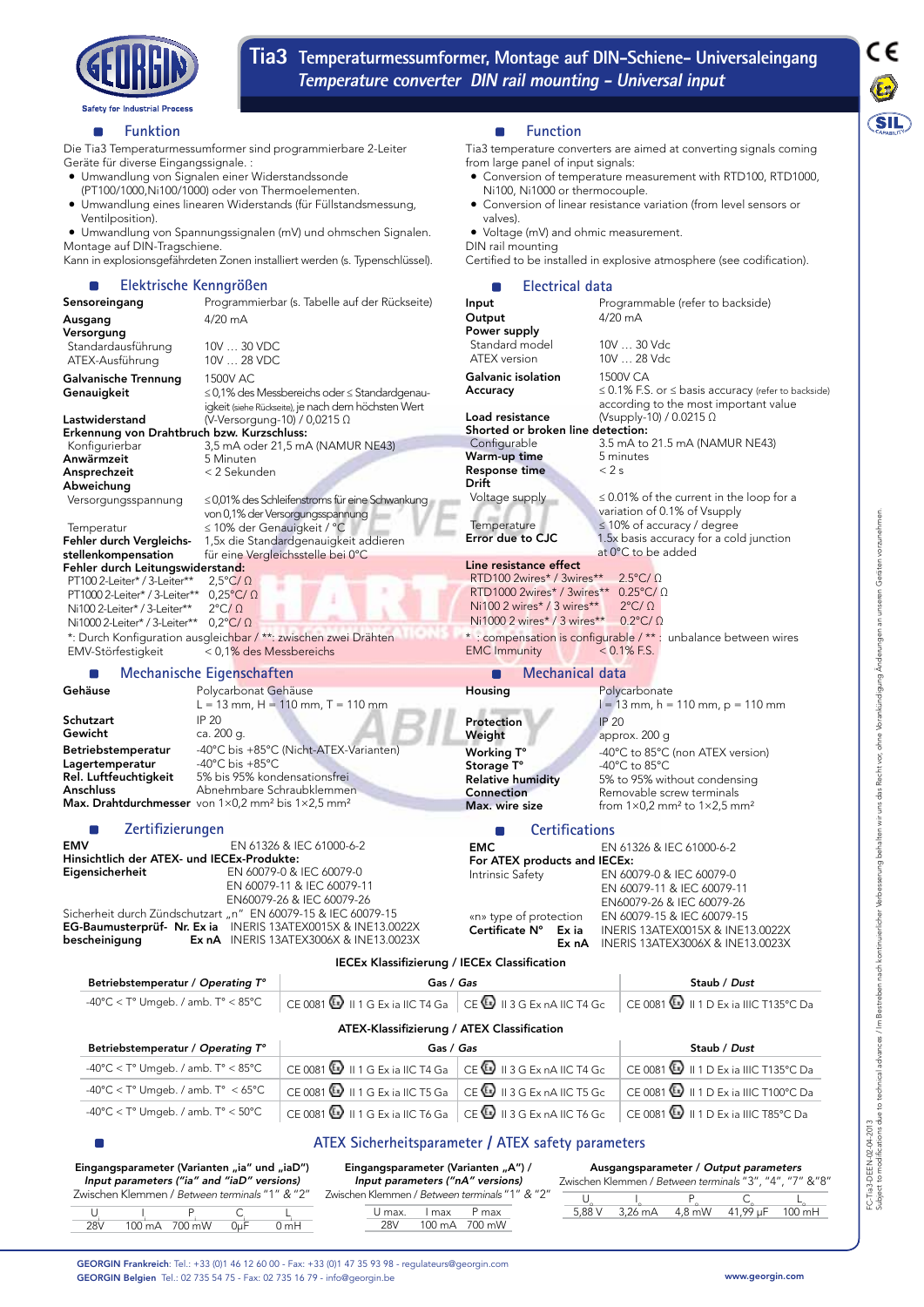

**Tia3 Temperaturmessumformer, Montage auf DIN-Schiene- Universaleingang Temperature converter DIN rail mounting - Universal input** 



### **Funktion**  $\blacksquare$

Die Tia3 Temperaturmessumformer sind programmierbare 2-Leiter Geräte für diverse Eingangssignale. :

- • Umwandlung von Signalen einer Widerstandssonde
- (PT100/1000,Ni100/1000) oder von Thermoelementen.
- • Umwandlung eines linearen Widerstands (für Füllstandsmessung, Ventilposition).

• Umwandlung von Spannungssignalen (mV) und ohmschen Signalen. Montage auf DIN-Tragschiene.

Kann in explosionsgefährdeten Zonen installiert werden (s. Typenschlüssel).

#### **Elektrische Kenngrößen** п

| Sensoreingang                                                                                                                                        | Programmierbar (s. Tabelle auf der Rückseite)                                                                                                                                                     | Input                                                                                                         |
|------------------------------------------------------------------------------------------------------------------------------------------------------|---------------------------------------------------------------------------------------------------------------------------------------------------------------------------------------------------|---------------------------------------------------------------------------------------------------------------|
| Ausgang                                                                                                                                              | $4/20$ mA                                                                                                                                                                                         | Outpu<br>Power                                                                                                |
| Versorgung<br>Standardausführung<br>ATEX-Ausführung                                                                                                  | 10V  30 VDC<br>10V  28 VDC                                                                                                                                                                        | Stand<br><b>ATEX</b>                                                                                          |
| Galvanische Trennung<br>Genauigkeit                                                                                                                  | 1500V AC<br>$\leq$ 0,1% des Messbereichs oder $\leq$ Standardgenau-<br>igkeit (siehe Rückseite), je nach dem höchsten Wert                                                                        | Galvan<br>Accura                                                                                              |
| Lastwiderstand<br>Erkennung von Drahtbruch bzw. Kurzschluss:                                                                                         | (V-Versorgung-10) / 0,0215 $\Omega$                                                                                                                                                               | Load re<br>Shorte                                                                                             |
| Konfigurierbar                                                                                                                                       | 3,5 mA oder 21,5 mA (NAMUR NE43)                                                                                                                                                                  | Config                                                                                                        |
| Anwärmzeit                                                                                                                                           | 5 Minuten                                                                                                                                                                                         | Warm-                                                                                                         |
| Ansprechzeit                                                                                                                                         | < 2 Sekunden                                                                                                                                                                                      | Respor<br>Drift                                                                                               |
| Abweichung                                                                                                                                           |                                                                                                                                                                                                   |                                                                                                               |
| Versorgungsspannung<br>Temperatur                                                                                                                    | $\leq$ 0,01% des Schleifenstroms für eine Schwankung<br>von 0,1% der Versorgungsspannung<br>≤ 10% der Genauigkeit / °C                                                                            | Voltac<br>Tempe                                                                                               |
| Fehler durch Vergleichs-                                                                                                                             | 1,5x die Standardgenauigkeit addieren                                                                                                                                                             | Error c                                                                                                       |
| stellenkompensation                                                                                                                                  | für eine Vergleichsstelle bei 0°C                                                                                                                                                                 |                                                                                                               |
| Fehler durch Leitungswiderstand:                                                                                                                     |                                                                                                                                                                                                   | Line re                                                                                                       |
| PT100 2-Leiter* / 3-Leiter**<br>PT1000 2-Leiter* / 3-Leiter**<br>Ni100 2-Leiter* / 3-Leiter**<br>Ni1000 2-Leiter* / 3-Leiter**<br>EMV-Störfestigkeit | $2.5^{\circ}C/\Omega$<br>$0.25^{\circ}$ C/ $\Omega$<br>$2^{\circ}C/\Omega$<br>$0.2^{\circ}C/\Omega$<br>*: Durch Konfiguration ausgleichbar / **: zwischen zwei Drähten<br>< 0,1% des Messbereichs | RTD <sub>10</sub><br>RTD <sub>10</sub><br><b>Ni100</b><br><b>Ni100</b><br>$* : \mathsf{com}$<br><b>EMC</b> Ir |
|                                                                                                                                                      | Mechanische Eigenschaften                                                                                                                                                                         |                                                                                                               |
| Gehäuse                                                                                                                                              | Polycarbonat Gehäuse                                                                                                                                                                              | Housin                                                                                                        |

#### П **Function**

Tia3 temperature converters are aimed at converting signals coming from large panel of input signals:

- Conversion of temperature measurement with RTD100, RTD1000, Ni100, Ni1000 or thermocouple.
- Conversion of linear resistance variation (from level sensors or valves).

• Voltage (mV) and ohmic measurement.

DIN rail mounting Certified to be installed in explosive atmosphere (see codification).

#### **Electrical data**  $\Box$

| Sensoreingang                                                                                    |                                                    | Programmierbar (s. Tabelle auf der Rückseite)                                                                  | Input                                                     | Programmable (refer to backside)                                                               |  |  |  |  |
|--------------------------------------------------------------------------------------------------|----------------------------------------------------|----------------------------------------------------------------------------------------------------------------|-----------------------------------------------------------|------------------------------------------------------------------------------------------------|--|--|--|--|
| Ausgang                                                                                          | 4/20 mA                                            |                                                                                                                | Output                                                    | $4/20$ mA                                                                                      |  |  |  |  |
| Versorgung                                                                                       |                                                    |                                                                                                                | Power supply<br>Standard model                            | 10V  30 Vdc                                                                                    |  |  |  |  |
| Standardausführung<br>ATEX-Ausführung                                                            | 10V  30 VDC<br>10V  28 VDC                         |                                                                                                                | <b>ATEX</b> version                                       | 10V  28 Vdc                                                                                    |  |  |  |  |
|                                                                                                  |                                                    |                                                                                                                | Galvanic isolation                                        | 1500V CA                                                                                       |  |  |  |  |
| Galvanische Trennung                                                                             | 1500V AC                                           |                                                                                                                | Accuracy                                                  | $\leq$ 0.1% F.S. or $\leq$ basis accuracy (refer to backside)                                  |  |  |  |  |
| Genauigkeit                                                                                      |                                                    | $\leq$ 0,1% des Messbereichs oder $\leq$ Standardgenau-<br>igkeit (siehe Rückseite), je nach dem höchsten Wert |                                                           | according to the most important value                                                          |  |  |  |  |
| Lastwiderstand                                                                                   | (V-Versorgung-10) / 0,0215 $\Omega$                |                                                                                                                | Load resistance                                           | (Vsupply-10) / 0.0215 $\Omega$                                                                 |  |  |  |  |
| Erkennung von Drahtbruch bzw. Kurzschluss:                                                       |                                                    | Shorted or broken line detection:                                                                              |                                                           |                                                                                                |  |  |  |  |
| Konfigurierbar                                                                                   |                                                    | 3,5 mA oder 21,5 mA (NAMUR NE43)                                                                               | Configurable                                              | 3.5 mA to 21.5 mA (NAMUR NE43)                                                                 |  |  |  |  |
| Anwärmzeit                                                                                       | 5 Minuten                                          |                                                                                                                | Warm-up time                                              | 5 minutes                                                                                      |  |  |  |  |
| Ansprechzeit                                                                                     | < 2 Sekunden                                       |                                                                                                                | <b>Response time</b><br><b>Drift</b>                      | < 2s                                                                                           |  |  |  |  |
| Abweichung<br>Versorgungsspannung                                                                |                                                    | $\leq$ 0,01% des Schleifenstroms für eine Schwankung                                                           | Voltage supply                                            | $\leq$ 0.01% of the current in the loop for a                                                  |  |  |  |  |
|                                                                                                  |                                                    | von 0,1% der Versorgungsspannung                                                                               |                                                           | variation of 0.1% of Vsupply                                                                   |  |  |  |  |
| Temperatur                                                                                       | ≤ 10% der Genauigkeit / °C                         |                                                                                                                | Temperature                                               | $\leq$ 10% of accuracy / degree                                                                |  |  |  |  |
| Fehler durch Vergleichs-                                                                         |                                                    | 1,5x die Standardgenauigkeit addieren                                                                          | Error due to CJC                                          | 1.5x basis accuracy for a cold junction                                                        |  |  |  |  |
| stellenkompensation                                                                              |                                                    | für eine Vergleichsstelle bei 0°C                                                                              |                                                           | at 0°C to be added                                                                             |  |  |  |  |
| Fehler durch Leitungswiderstand:                                                                 |                                                    |                                                                                                                | Line resistance effect                                    |                                                                                                |  |  |  |  |
| PT100 2-Leiter* / 3-Leiter**                                                                     | $2,5^{\circ}C/\Omega$                              |                                                                                                                | RTD100 2wires* / 3wires**                                 | $2.5^{\circ}$ C/ $\Omega$                                                                      |  |  |  |  |
| PT1000 2-Leiter* / 3-Leiter**                                                                    | $0.25^{\circ}$ C/ $\Omega$                         |                                                                                                                | RTD1000 2wires* / 3wires** $0.25^{\circ}$ C/ $\Omega$     | $2^{\circ}C/\Omega$                                                                            |  |  |  |  |
| Ni100 2-Leiter* / 3-Leiter**                                                                     | $2^{\circ}C/\Omega$                                |                                                                                                                | Ni100 2 wires* / 3 wires**<br>Ni1000 2 wires* / 3 wires** | $0.2$ °C/ $\Omega$                                                                             |  |  |  |  |
| Ni1000 2-Leiter* / 3-Leiter**<br>*: Durch Konfiguration ausgleichbar / **: zwischen zwei Drähten | $0.2$ °C/ $\Omega$                                 |                                                                                                                |                                                           | * : compensation is configurable / ** : unbalance between wires                                |  |  |  |  |
| EMV-Störfestigkeit                                                                               | < 0.1% des Messbereichs                            |                                                                                                                | <b>EMC</b> Immunity                                       | $< 0.1\%$ F.S.                                                                                 |  |  |  |  |
| Mechanische Eigenschaften                                                                        |                                                    |                                                                                                                | Mechanical data                                           |                                                                                                |  |  |  |  |
| Gehäuse                                                                                          | Polycarbonat Gehäuse                               |                                                                                                                | Housing                                                   | Polycarbonate                                                                                  |  |  |  |  |
|                                                                                                  |                                                    | $L = 13$ mm, $H = 110$ mm, $T = 110$ mm                                                                        |                                                           | $l = 13$ mm, h = 110 mm, p = 110 mm                                                            |  |  |  |  |
| Schutzart                                                                                        | <b>IP 20</b>                                       |                                                                                                                | Protection                                                | <b>IP 20</b>                                                                                   |  |  |  |  |
| Gewicht                                                                                          | ca. 200 g.                                         |                                                                                                                | Weight                                                    | approx. 200 g                                                                                  |  |  |  |  |
| <b>Betriebstemperatur</b>                                                                        |                                                    | -40°C bis +85°C (Nicht-ATEX-Varianten)                                                                         | Working T°                                                | -40°C to 85°C (non ATEX version)                                                               |  |  |  |  |
| Lagertemperatur<br>Rel. Luftfeuchtigkeit                                                         | -40°C bis $+85$ °C<br>5% bis 95% kondensationsfrei |                                                                                                                | Storage T°                                                | -40 $^{\circ}$ C to 85 $^{\circ}$ C                                                            |  |  |  |  |
| Anschluss                                                                                        | Abnehmbare Schraubklemmen                          |                                                                                                                | <b>Relative humidity</b><br>Connection                    | 5% to 95% without condensing                                                                   |  |  |  |  |
| <b>Max. Drahtdurchmesser</b> von $1\times0.2$ mm <sup>2</sup> bis $1\times2.5$ mm <sup>2</sup>   |                                                    |                                                                                                                | Max. wire size                                            | Removable screw terminals<br>from $1\times0.2$ mm <sup>2</sup> to $1\times2.5$ mm <sup>2</sup> |  |  |  |  |
|                                                                                                  |                                                    |                                                                                                                |                                                           |                                                                                                |  |  |  |  |
| Zertifizierungen                                                                                 |                                                    |                                                                                                                | <b>Certifications</b><br>n.                               |                                                                                                |  |  |  |  |
| <b>EMV</b>                                                                                       |                                                    | EN 61326 & IEC 61000-6-2                                                                                       |                                                           | <b>EMC</b><br>EN 61326 & IEC 61000-6-2                                                         |  |  |  |  |
| Hinsichtlich der ATEX- und IECEx-Produkte:                                                       |                                                    | EN 60079-0 & IEC 60079-0                                                                                       |                                                           | For ATEX products and IECEx:                                                                   |  |  |  |  |
| Eigensicherheit                                                                                  |                                                    | EN 60079-11 & IEC 60079-11                                                                                     | Intrinsic Safety                                          | EN 60079-0 & IEC 60079-0                                                                       |  |  |  |  |
|                                                                                                  |                                                    | EN60079-26 & IEC 60079-26                                                                                      |                                                           | EN 60079-11 & IEC 60079-11<br>EN60079-26 & IEC 60079-26                                        |  |  |  |  |
| Sicherheit durch Zündschutzart "n" EN 60079-15 & IEC 60079-15                                    |                                                    |                                                                                                                | «n» type of protection                                    | EN 60079-15 & IEC 60079-15                                                                     |  |  |  |  |
|                                                                                                  |                                                    | EG-Baumusterprüf- Nr. Ex ia INERIS 13ATEX0015X & INE13.0022X                                                   | Certificate N°<br>Ex ia                                   | INERIS 13ATEX0015X & INE13.0022X                                                               |  |  |  |  |
| bescheinigung                                                                                    |                                                    | <b>Ex nA</b> INERIS 13ATEX3006X & INE13.0023X                                                                  | Ex nA                                                     | INERIS 13ATEX3006X & INE13.0023X                                                               |  |  |  |  |
|                                                                                                  |                                                    | <b>IECEx Klassifizierung / IECEx Classification</b>                                                            |                                                           |                                                                                                |  |  |  |  |
| Betriebstemperatur / Operating T°<br>Gas / Gas                                                   |                                                    |                                                                                                                | Staub / Dust                                              |                                                                                                |  |  |  |  |
| $-40^{\circ}$ C < T° Umgeb. / amb. T° < 85°C                                                     |                                                    | CE 0081 $\bigcirc$ II 1 G Ex ia IIC T4 Ga CE $\bigcirc$ II 3 G Ex nA IIC T4 Gc                                 |                                                           | CE 0081 1 1 D Ex ia IIIC T135°C Da                                                             |  |  |  |  |
| ATEX-Klassifizierung / ATEX Classification                                                       |                                                    |                                                                                                                |                                                           |                                                                                                |  |  |  |  |
| Betriebstemperatur / Operating T°                                                                |                                                    | Gas / Gas                                                                                                      |                                                           | Staub / Dust                                                                                   |  |  |  |  |
| -40°C < T° Umgeb. / amb. T° < 85°C                                                               |                                                    | CE 0081 $\bigcirc$ II 1 G Ex ia IIC T4 Ga                                                                      | CE II 3 G Ex nA IIC T4 Gc                                 | CE 0081   II 1 D Ex ia IIIC T135°C Da                                                          |  |  |  |  |

Eingangsparameter (Varianten "ia" und "iaD") Input parameters ("ia" and "iaD" versions) Zwischen Klemmen / Between terminals "1" & "2"

<sup>i</sup> Pi Ci Li 28V 100 mA 700 mW 0µF 0 mH

 $\cup$  I

Eingangsparameter (Varianten "A") / Input parameters ("nA" versions) Zwischen Klemmen / Between terminals "1" & "2" U max. I max P max

 $-40^{\circ}$ C < T° Umgeb. / amb. T° < 65°C  $\,$  CE 0081  $\overline{\text{Q}}$  II 1 G Ex ia IIC T5 Ga  $\,$  CE  $\overline{\text{Q}}$  II 3 G Ex nA IIC T5 Gc  $\,$  CE 0081  $\overline{\text{Q}}$  II 1 D Ex ia IIIC T100°C Da  $-40^{\circ}$ C < T° Umgeb. / amb. T° < 50°C  $\left|$  CE 0081  $\Omega$  II 1 G Ex ia IIC T6 Ga  $\left|$  CE  $\Omega$  II 3 G Ex nA IIC T6 Gc  $\left|$  CE 0081  $\Omega$  II 1 D Ex ia IIIC T85°C Da

28V 100 mA 700 mW

Ausgangsparameter / Output parameters Zwischen Klemmen / Between terminals "3", "4", "7" &"8"  $5,88V$   $3,26mA$ <u>U I Po C L<sub>o</sub> L</u>o<br>5,88 V 3,26 mA 4,8 mW 41,99 μF 100 mH

GEORGIN Frankreich: Tel.: +33 (0)1 46 12 60 00 - Fax: +33 (0)1 47 35 93 98 - regulateurs@georgin.com GEORGIN Belgien Tel.: 02 735 54 75 - Fax: 02 735 16 79 - info@georgin.be